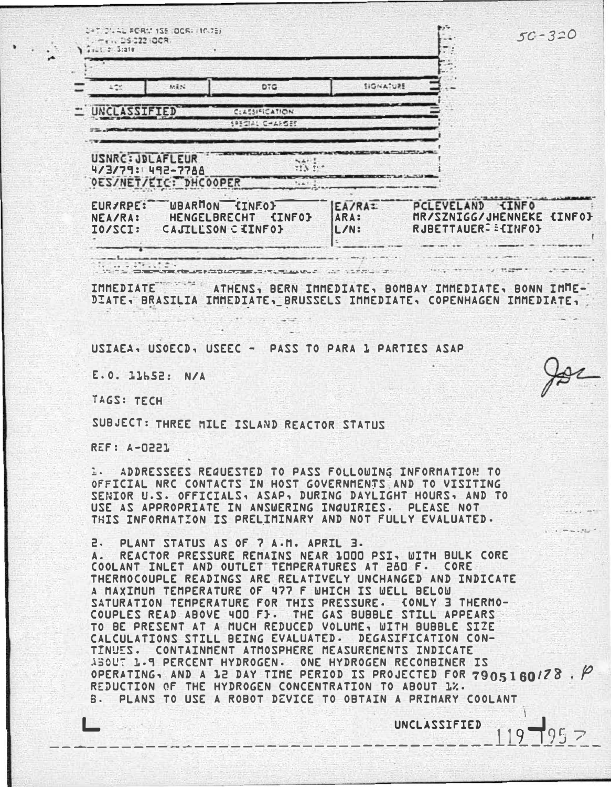| MAAL FORM 155 JOCK, INVER<br>DS 222 OCR.<br>$1 - 1 = 2 - 3:210$                                                                                                                                                                                                                                                                                                                                                                                                                                                                                                                                                                                                                                                                                                                                                                                          |                                                      |                                       |                                                     | $50 - 320$                |
|----------------------------------------------------------------------------------------------------------------------------------------------------------------------------------------------------------------------------------------------------------------------------------------------------------------------------------------------------------------------------------------------------------------------------------------------------------------------------------------------------------------------------------------------------------------------------------------------------------------------------------------------------------------------------------------------------------------------------------------------------------------------------------------------------------------------------------------------------------|------------------------------------------------------|---------------------------------------|-----------------------------------------------------|---------------------------|
| 86826                                                                                                                                                                                                                                                                                                                                                                                                                                                                                                                                                                                                                                                                                                                                                                                                                                                    | DTG                                                  | SIGNATURE                             |                                                     |                           |
| NCLASSIFIED                                                                                                                                                                                                                                                                                                                                                                                                                                                                                                                                                                                                                                                                                                                                                                                                                                              | <b>CLASSIFICATION</b><br>SASSIC-AFSES                |                                       |                                                     |                           |
| USNRC: JDLAFLEUR<br>4/3/79: 492-7788<br>OES/NET/EIC: DHCOOPER                                                                                                                                                                                                                                                                                                                                                                                                                                                                                                                                                                                                                                                                                                                                                                                            | <b>NAFIT</b><br>TIN INT                              |                                       |                                                     |                           |
| EUR/RPE: WBARMON [INFO]<br>NEA/RA:<br><b>HENGELBRECHT</b><br>IO/SCI:                                                                                                                                                                                                                                                                                                                                                                                                                                                                                                                                                                                                                                                                                                                                                                                     | <b>{INFO}</b><br>CAJILLSON CIINFOI                   | EA/RA <sub>I</sub><br>ARA:<br>$L/N$ : | PCLEVELAND CINFO<br>RJBETTAUER <sup>2</sup> E{INFO} | MR/SZNIGG/JHENNEKE {INFO} |
| Literature<br>The Company of the ASP                                                                                                                                                                                                                                                                                                                                                                                                                                                                                                                                                                                                                                                                                                                                                                                                                     |                                                      | THALLMARK CONTROLLED TO               |                                                     |                           |
| IMMEDIATE<br>DIATE. BRASILIA IMMEDIATE. BRUSSELS IMMEDIATE. COPENHAGEN IMMEDIATE.<br>USIAEA, USOECD, USEEC - PASS TO PARA 1 PARTIES ASAP                                                                                                                                                                                                                                                                                                                                                                                                                                                                                                                                                                                                                                                                                                                 | ATHENS, BERN IMMEDIATE, BOMBAY IMMEDIATE, BONN IMME- |                                       |                                                     |                           |
| E.O. 11552: N/A                                                                                                                                                                                                                                                                                                                                                                                                                                                                                                                                                                                                                                                                                                                                                                                                                                          |                                                      |                                       |                                                     |                           |
| TAGS: TECH                                                                                                                                                                                                                                                                                                                                                                                                                                                                                                                                                                                                                                                                                                                                                                                                                                               |                                                      |                                       |                                                     |                           |
| SUBJECT: THREE MILE ISLAND REACTOR STATUS                                                                                                                                                                                                                                                                                                                                                                                                                                                                                                                                                                                                                                                                                                                                                                                                                |                                                      |                                       |                                                     |                           |
| <b>REF: A-0221</b>                                                                                                                                                                                                                                                                                                                                                                                                                                                                                                                                                                                                                                                                                                                                                                                                                                       |                                                      |                                       |                                                     |                           |
| <b>1. ADDRESSEES REQUESTED TO PASS FOLLOWING INFORMATION TO</b><br>OFFICIAL NRC CONTACTS IN HOST GOVERNMENTS AND TO VISITING<br>SENIOR U.S. OFFICIALS, ASAP, DURING DAYLIGHT HOURS, AND TO<br>USE AS APPROPRIATE IN ANSWERING INQUIRIES.<br>THIS INFORMATION IS PRELIMINARY AND NOT FULLY EVALUATED.                                                                                                                                                                                                                                                                                                                                                                                                                                                                                                                                                     |                                                      |                                       | PLEASE NOT                                          |                           |
| PLANT STATUS AS OF 7 A.M. APRIL 3.<br>2.<br>REACTOR PRESSURE REMAINS NEAR 1000 PSI, WITH BULK CORE<br>A.<br>COOLANT INLET AND OUTLET TEMPERATURES AT 280 F. CORE<br>THERMOCOUPLE READINGS ARE RELATIVELY UNCHANGED AND INDICATE<br>A MAXIMUM TEMPERATURE OF 477 F WHICH IS WELL BELOW<br>SATURATION TEMPERATURE FOR THIS PRESSURE. CONLY 3 THERMO-<br>COUPLES READ ABOVE 400 FJ. THE GAS BUBBLE STILL APPEARS<br>TO BE PRESENT AT A MUCH REDUCED VOLUME, WITH BUBBLE SIZE<br>CALCULATIONS STILL BEING EVALUATED. DEGASIFICATION CON-<br>TINUES. CONTAINMENT ATMOSPHERE MEASUREMENTS INDICATE<br>ABOUT 1.9 PERCENT HYDROGEN. ONE HYDROGEN RECOMBINER IS<br>OPERATING, AND A 12 DAY TIME PERIOD IS PROJECTED FOR 7905160/28, P<br>REDUCTION OF THE HYDROGEN CONCENTRATION TO ABOUT 1%.<br>PLANS TO USE A ROBOT DEVICE TO OBTAIN A PRIMARY COOLANT<br>$B -$ |                                                      |                                       |                                                     |                           |

UNCLASSIFIED  $119 - 95 =$ 

L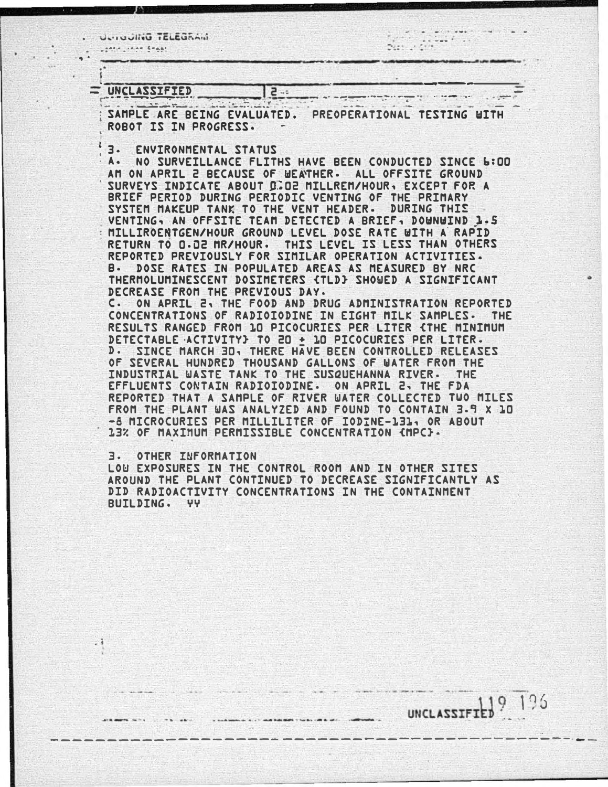ULIIUUIIIU IELEUNAII

 $\frac{1}{2}$ 

119 196

**UNCLASSIFIED** 

## = UNCLASSIFIED

SAMPLE ARE BEING EVALUATED. PREOPERATIONAL TESTING WITH ROROT IS IN PROGRESS.

 $2 - 5$ 

3. ENVIRONMENTAL STATUS

NO SURVEILLANCE FLITHS HAVE BEEN CONDUCTED SINCE 6:00  $A -$ AM ON APRIL 2 BECAUSE OF WEATHER. ALL OFFSITE GROUND SURVEYS INDICATE ABOUT 0.02 MILLREM/HOUR, EXCEPT FOR A BRIEF PERIOD DURING PERIODIC VENTING OF THE PRIMARY DURING THIS SYSTEM MAKEUP TANK TO THE VENT HEADER. VENTING, AN OFFSITE TEAM DETECTED A BRIEF, DOWNWIND 1.5 MILLIROENTGEN/HOUR GROUND LEVEL DOSE RATE WITH A RAPID RETURN TO 0.02 MR/HOUR. THIS LEVEL IS LESS THAN OTHERS REPORTED PREVIOUSLY FOR STMILAR OPERATION ACTIVITIES. DOSE RATES IN POPULATED AREAS AS MEASURED BY NRC В. THERMOLUMINESCENT DOSIMETERS (TLD) SHOWED A SIGNIFICANT DECREASE FROM THE PREVIOUS DAY. C. ON APRIL 2, THE FOOD AND DRUG ADMINISTRATION REPORTED CONCENTRATIONS OF RADIOIODINE IN EIGHT MILK SAMPLES. THE

RESULTS RANGED FROM 10 PICOCURIES PER LITER (THE MINIMUM DETECTABLE ACTIVITY} TO 20 + 10 PICOCURIES PER LITER. SINCE MARCH 30, THERE HAVE BEEN CONTROLLED RELEASES  $D -$ OF SEVERAL HUNDRED THOUSAND GALLONS OF WATER FROM THE INDUSTRIAL WASTE TANK TO THE SUSQUEHANNA RIVER. THE EFFLUENTS CONTAIN RADIOIODINE. ON APRIL 2, THE FDA REPORTED THAT A SAMPLE OF RIVER WATER COLLECTED TWO MILES FROM THE PLANT WAS ANALYZED AND FOUND TO CONTAIN 3.9 X 10 -8 MICROCURIES PER MILLILITER OF IODINE-131, OR ABOUT 13% OF MAXIMUM PERMISSIBLE CONCENTRATION (MPC).

3. **OTHER INFORMATION** 

2ă

LOW EXPOSURES IN THE CONTROL ROOM AND IN OTHER SITES AROUND THE PLANT CONTINUED TO DECREASE SIGNIFICANTLY AS DID RADIOACTIVITY CONCENTRATIONS IN THE CONTAINMENT **BUILDING.** UU